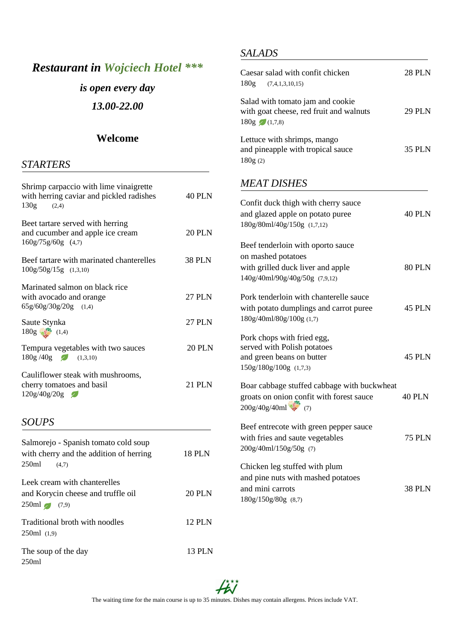## *Restaurant in Wojciech Hotel \*\*\**

# *is open every day*

*13.00-22.00*

#### **Welcome**

#### *STARTERS*

| Shrimp carpaccio with lime vinaigrette<br>with herring caviar and pickled radishes<br>130g<br>(2,4) | <b>40 PLN</b> |
|-----------------------------------------------------------------------------------------------------|---------------|
| Beet tartare served with herring<br>and cucumber and apple ice cream<br>160g/75g/60g (4,7)          | <b>20 PLN</b> |
| Beef tartare with marinated chanterelles<br>100g/50g/15g (1,3,10)                                   | <b>38 PLN</b> |
| Marinated salmon on black rice<br>with avocado and orange<br>$65g/60g/30g/20g$ (1,4)                | <b>27 PLN</b> |
| Saute Stynka<br>$180g$ (1,4)                                                                        | <b>27 PLN</b> |
| Tempura vegetables with two sauces<br>$180g / 40g$ $(1,3,10)$                                       | <b>20 PLN</b> |
| Cauliflower steak with mushrooms,<br>cherry tomatoes and basil<br>120g/40g/20g                      | 21 PLN        |
| <b>SOUPS</b>                                                                                        |               |
| Salmorejo - Spanish tomato cold soup<br>with cherry and the addition of herring<br>250ml<br>(4,7)   | <b>18 PLN</b> |
| Leek cream with chanterelles<br>and Korycin cheese and truffle oil<br>$250ml$ (7,9)                 | <b>20 PLN</b> |
| Traditional broth with noodles<br>250ml (1,9)                                                       | <b>12 PLN</b> |
| The soup of the day<br>250ml                                                                        | <b>13 PLN</b> |

#### *SALADS*

| Caesar salad with confit chicken<br>180g (7,4,1,3,10,15)                                                                       | <b>28 PLN</b> |
|--------------------------------------------------------------------------------------------------------------------------------|---------------|
| Salad with tomato jam and cookie<br>with goat cheese, red fruit and walnuts<br>$180g$ (1,7,8)                                  | <b>29 PLN</b> |
| Lettuce with shrimps, mango<br>and pineapple with tropical sauce<br>180g(2)                                                    | <b>35 PLN</b> |
| <b>MEAT DISHES</b>                                                                                                             |               |
| Confit duck thigh with cherry sauce<br>and glazed apple on potato puree<br>180g/80ml/40g/150g (1,7,12)                         | 40 PLN        |
| Beef tenderloin with oporto sauce<br>on mashed potatoes<br>with grilled duck liver and apple<br>140g/40ml/90g/40g/50g (7,9,12) | <b>80 PLN</b> |
| Pork tenderloin with chanterelle sauce<br>with potato dumplings and carrot puree<br>180g/40ml/80g/100g (1,7)                   | <b>45 PLN</b> |
| Pork chops with fried egg,<br>served with Polish potatoes<br>and green beans on butter<br>150g/180g/100g (1,7,3)               | 45 PLN        |
| Boar cabbage stuffed cabbage with buckwheat<br>groats on onion confit with forest sauce<br>200g/40g/40ml (7)                   | <b>40 PLN</b> |
| Beef entrecote with green pepper sauce<br>with fries and saute vegetables<br>200g/40ml/150g/50g (7)                            | <b>75 PLN</b> |
| Chicken leg stuffed with plum<br>and pine nuts with mashed potatoes<br>and mini carrots<br>180g/150g/80g (8,7)                 | 38 PLN        |

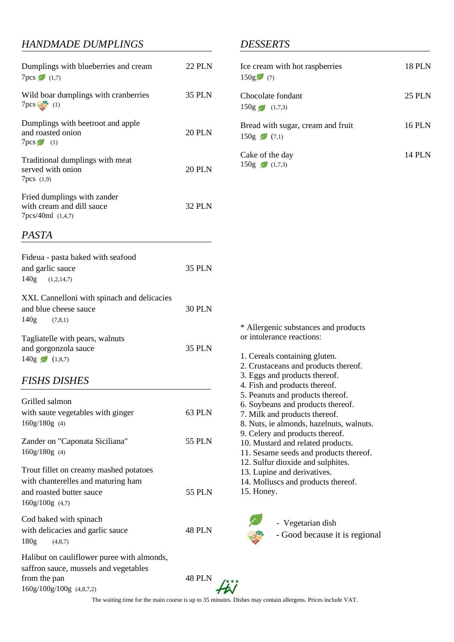#### *HANDMADE DUMPLINGS*

| Dumplings with blueberries and cream<br>$7pcs$ (1,7)                                    | <b>22 PLN</b> |
|-----------------------------------------------------------------------------------------|---------------|
| Wild boar dumplings with cranberries<br>$7pcs$ (1)                                      | <b>35 PLN</b> |
| Dumplings with beetroot and apple<br>and roasted onion<br>$7pcs$ (1)                    | <b>20 PLN</b> |
| Traditional dumplings with meat<br>served with onion<br>7pcs (1,9)                      | 20 PLN        |
| Fried dumplings with zander<br>with cream and dill sauce<br>7pcs/40ml (1,4,7)           | <b>32 PLN</b> |
| PASTA                                                                                   |               |
| Fideua - pasta baked with seafood<br>and garlic sauce<br>$140g$ $(1,2,14,7)$            | <b>35 PLN</b> |
| XXL Cannelloni with spinach and delicacies<br>and blue cheese sauce<br>$140g$ $(7,8,1)$ | <b>30 PLN</b> |
| Tagliatelle with pears, walnuts<br>and gorgonzola sauce<br>$140g$ $(1,8,7)$             | <b>35 PLN</b> |

#### *FISHS DISHES*

| Grilled salmon                             |               |
|--------------------------------------------|---------------|
| with saute vegetables with ginger          | 63 PLN        |
| $160g/180g$ (4)                            |               |
| Zander on "Caponata Siciliana"             | 55 PLN        |
| $160g/180g$ (4)                            |               |
| Trout fillet on creamy mashed potatoes     |               |
| with chanterelles and maturing ham         |               |
| and roasted butter sauce                   | 55 PLN        |
| $160g/100g$ (4,7)                          |               |
| Cod baked with spinach                     |               |
| with delicacies and garlic sauce           | <b>48 PLN</b> |
| 180g<br>(4,8,7)                            |               |
| Halibut on cauliflower puree with almonds, |               |
| saffron sauce, mussels and vegetables      |               |
| from the pan                               | 48 PLN        |

#### *DESSERTS*

| Ice cream with hot raspberries<br>150g(7)         | <b>18 PLN</b> |
|---------------------------------------------------|---------------|
| Chocolate fondant<br>$150g$ (1,7,3)               | <b>25 PLN</b> |
| Bread with sugar, cream and fruit<br>$150g$ (7,1) | <b>16 PLN</b> |
| Cake of the day<br>$150g$ (1,7,3)                 | 14 PLN        |

\* Allergenic substances and products or intolerance reactions:

- 1. Cereals containing gluten.
- 2. Crustaceans and products thereof.
- 3. Eggs and products thereof.
- 4. Fish and products thereof.
- 5. Peanuts and products thereof.
- 6. Soybeans and products thereof.
- 7. Milk and products thereof.
- 8. Nuts, ie almonds, hazelnuts, walnuts.
- 9. Celery and products thereof.
- 10. Mustard and related products.
- 11. Sesame seeds and products thereof.
- 12. Sulfur dioxide and sulphites.
- 13. Lupine and derivatives.
- 14. Molluscs and products thereof.
- 15. Honey.



#### - Vegetarian dish

- Good because it is regional



The waiting time for the main course is up to 35 minutes. Dishes may contain allergens. Prices include VAT.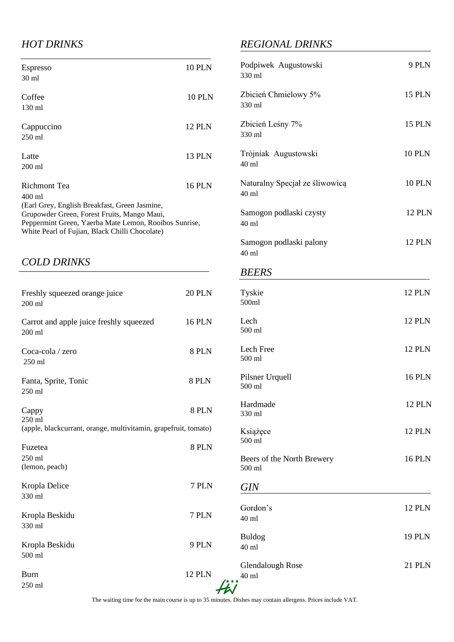#### *HOT DRINKS*

| <b>Espresso</b>                                       | <b>10 PLN</b> |
|-------------------------------------------------------|---------------|
| $30 \text{ ml}$                                       |               |
|                                                       |               |
| Coffee                                                | <b>10 PLN</b> |
| 130 ml                                                |               |
|                                                       |               |
| Cappuccino                                            | <b>12 PLN</b> |
| $250 \text{ ml}$                                      |               |
|                                                       |               |
| Latte                                                 | <b>13 PLN</b> |
| $200 \text{ ml}$                                      |               |
|                                                       |               |
| Richmont Tea                                          | 16 PLN        |
| 400 ml                                                |               |
| (Earl Grey, English Breakfast, Green Jasmine,         |               |
| Grupowder Green, Forest Fruits, Mango Maui,           |               |
| Peppermint Green, Yaerba Mate Lemon, Rooibos Sunrise, |               |
| White Pearl of Fujian, Black Chilli Chocolate)        |               |

#### *COLD DRINKS*

| Freshly squeezed orange juice<br>$200$ ml                       | <b>20 PLN</b> | Tyski<br>500ml   |
|-----------------------------------------------------------------|---------------|------------------|
| Carrot and apple juice freshly squeezed<br>200 ml               | <b>16 PLN</b> | Lech<br>500 ml   |
| Coca-cola / zero<br>250 ml                                      | 8 PLN         | Lech 1<br>500 ml |
| Fanta, Sprite, Tonic<br>250 ml                                  | 8 PLN         | Pilsne<br>500 ml |
| Cappy<br>250 ml                                                 | 8 PLN         | Hardn<br>330 ml  |
| (apple, blackcurrant, orange, multivitamin, grapefruit, tomato) |               | Książ            |
| Fuzetea                                                         | 8 PLN         | 500 ml           |
| 250 ml<br>(lemon, peach)                                        |               | Beers<br>500 ml  |
| Kropla Delice<br>330 ml                                         | 7 PLN         | <b>GIN</b>       |
| Kropla Beskidu<br>330 ml                                        | 7 PLN         | Gordo<br>40 ml   |
| Kropla Beskidu<br>500 ml                                        | 9 PLN         | Buldo<br>40 ml   |
| <b>Burn</b><br>250 ml                                           | <b>12 PLN</b> | Glend<br>40 ml   |

### *REGIONAL DRINKS*

| Podpiwek Augustowski<br>330 ml                    | 9 PLN         |
|---------------------------------------------------|---------------|
| Zbicień Chmielowy 5%<br>330 ml                    | <b>15 PLN</b> |
| Zbicień Leśny 7%<br>330 ml                        | <b>15 PLN</b> |
| Trójniak Augustowski<br>$40$ ml                   | <b>10 PLN</b> |
| Naturalny Specjał ze śliwowicą<br>$40 \text{ ml}$ | <b>10 PLN</b> |
| Samogon podlaski czysty<br>$40$ ml                | <b>12 PLN</b> |
| Samogon podlaski palony<br>40 ml                  | <b>12 PLN</b> |
| <b>BEERS</b>                                      |               |
| Tyskie<br>500ml                                   | <b>12 PLN</b> |
| Lech<br>500 ml                                    | <b>12 PLN</b> |
| Lech Free<br>$500$ ml                             | <b>12 PLN</b> |
| Pilsner Urquell<br>500 ml                         | <b>16 PLN</b> |
| Hardmade<br>330 ml                                | <b>12 PLN</b> |
| Książęce<br>500 ml                                | <b>12 PLN</b> |
| Beers of the North Brewery<br>500 ml              | <b>16 PLN</b> |
| <b>GIN</b>                                        |               |
| Gordon's<br>40 ml                                 | <b>12 PLN</b> |
| <b>Buldog</b><br>40 ml                            | <b>19 PLN</b> |
| <b>Glendalough Rose</b><br>40 ml                  | 21 PLN        |

The waiting time for the main course is up to 35 minutes. Dishes may contain allergens. Prices include VAT.